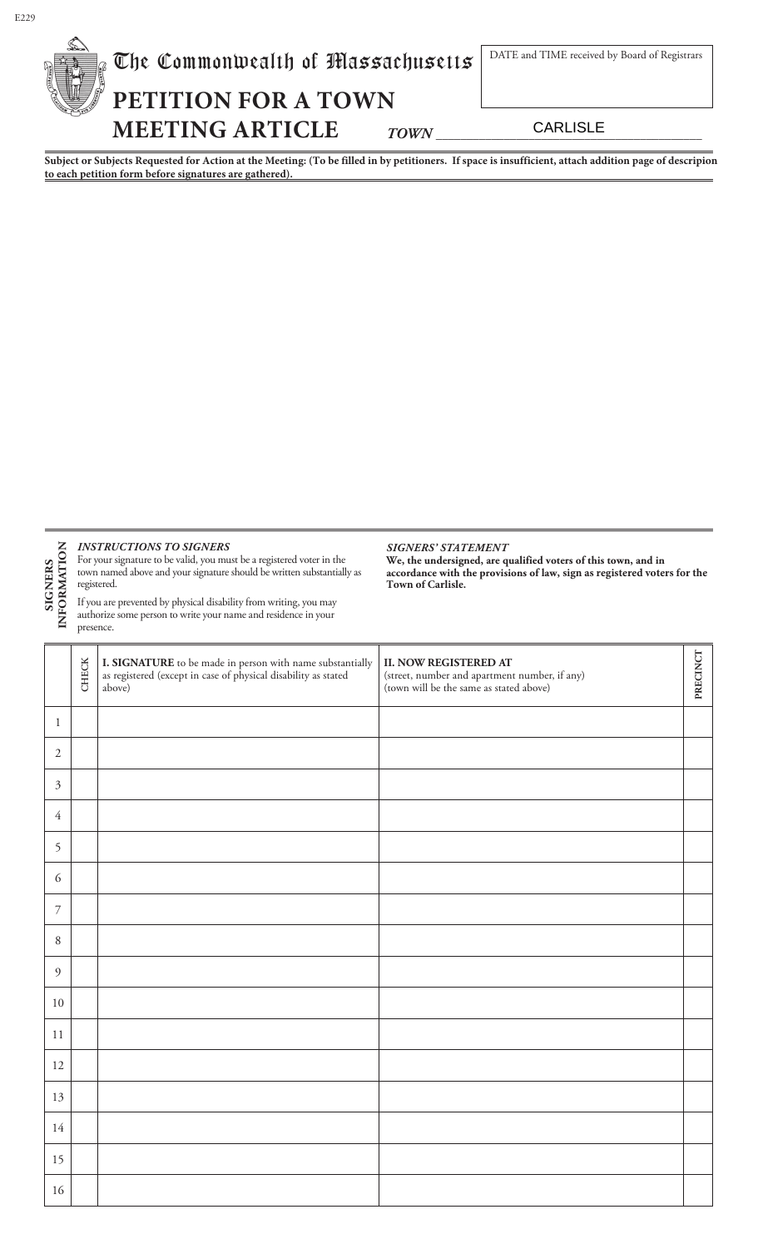| $\mathbb{Z}$ | The Commonwealth of Massachusetts | DATE and TIME received by Board of Registrars |            |
|--------------|-----------------------------------|-----------------------------------------------|------------|
|              | PETITION FOR A TOWN               |                                               |            |
|              | <b>MEETING ARTICLE</b>            | <b>TOWN</b>                                   | CARI ISI F |

**Subject or Subjects Requested for Action at the Meeting: (To be filled in by petitioners. If space is insufficient, attach addition page of descripion to each petition form before signatures are gathered).**

## *INSTRUCTIONS TO SIGNERS*

For your signature to be valid, you must be a registered voter in the town named above and your signature should be written substantially as registered. **SIGNERS INFORMATION**

If you are prevented by physical disability from writing, you may authorize some person to write your name and residence in your presence.

#### *SIGNERS' STATEMENT*

**We, the undersigned, are qualified voters of this town, and in accordance with the provisions of law, sign as registered voters for the Town of Carlisle.**

|                  | <b>CHECK</b> | <b>I. SIGNATURE</b> to be made in person with name substantially as registered (except in case of physical disability as stated<br>above) | <b>II. NOW REGISTERED AT</b><br>(street, number and apartment number, if any)<br>(town will be the same as stated above) | PRECINCT |
|------------------|--------------|-------------------------------------------------------------------------------------------------------------------------------------------|--------------------------------------------------------------------------------------------------------------------------|----------|
| $\mathbf{1}$     |              |                                                                                                                                           |                                                                                                                          |          |
| $\sqrt{2}$       |              |                                                                                                                                           |                                                                                                                          |          |
| $\mathfrak{Z}$   |              |                                                                                                                                           |                                                                                                                          |          |
| 4                |              |                                                                                                                                           |                                                                                                                          |          |
| 5                |              |                                                                                                                                           |                                                                                                                          |          |
| 6                |              |                                                                                                                                           |                                                                                                                          |          |
| $\boldsymbol{7}$ |              |                                                                                                                                           |                                                                                                                          |          |
| $\,8\,$          |              |                                                                                                                                           |                                                                                                                          |          |
| $\overline{9}$   |              |                                                                                                                                           |                                                                                                                          |          |
| 10               |              |                                                                                                                                           |                                                                                                                          |          |
| 11               |              |                                                                                                                                           |                                                                                                                          |          |
| 12               |              |                                                                                                                                           |                                                                                                                          |          |
| 13               |              |                                                                                                                                           |                                                                                                                          |          |
| 14               |              |                                                                                                                                           |                                                                                                                          |          |
| 15               |              |                                                                                                                                           |                                                                                                                          |          |
| 16               |              |                                                                                                                                           |                                                                                                                          |          |